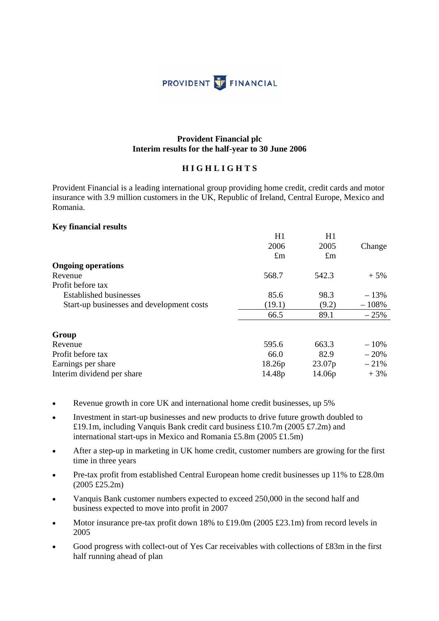

#### **Provident Financial plc Interim results for the half-year to 30 June 2006**

#### **H I G H L I G H T S**

Provident Financial is a leading international group providing home credit, credit cards and motor insurance with 3.9 million customers in the UK, Republic of Ireland, Central Europe, Mexico and Romania.

#### **Key financial results**

|                                           | H1<br>2006  | H1<br>2005         | Change  |
|-------------------------------------------|-------------|--------------------|---------|
|                                           | $\pounds$ m | $\pounds$ m        |         |
| <b>Ongoing operations</b>                 |             |                    |         |
| Revenue                                   | 568.7       | 542.3              | $+5\%$  |
| Profit before tax                         |             |                    |         |
| <b>Established businesses</b>             | 85.6        | 98.3               | $-13%$  |
| Start-up businesses and development costs | (19.1)      | (9.2)              | $-108%$ |
|                                           | 66.5        | 89.1               | $-25%$  |
| Group                                     |             |                    |         |
| Revenue                                   | 595.6       | 663.3              | $-10\%$ |
| Profit before tax                         | 66.0        | 82.9               | $-20%$  |
| Earnings per share                        | 18.26p      | 23.07 <sub>p</sub> | $-21%$  |
| Interim dividend per share                | 14.48p      | 14.06p             | $+3%$   |

- Revenue growth in core UK and international home credit businesses, up 5%
- Investment in start-up businesses and new products to drive future growth doubled to £19.1m, including Vanquis Bank credit card business £10.7m (2005 £7.2m) and international start-ups in Mexico and Romania £5.8m (2005 £1.5m)
- After a step-up in marketing in UK home credit, customer numbers are growing for the first time in three years
- Pre-tax profit from established Central European home credit businesses up 11% to £28.0m (2005 £25.2m)
- Vanquis Bank customer numbers expected to exceed 250,000 in the second half and business expected to move into profit in 2007
- Motor insurance pre-tax profit down 18% to £19.0m (2005 £23.1m) from record levels in 2005
- Good progress with collect-out of Yes Car receivables with collections of £83m in the first half running ahead of plan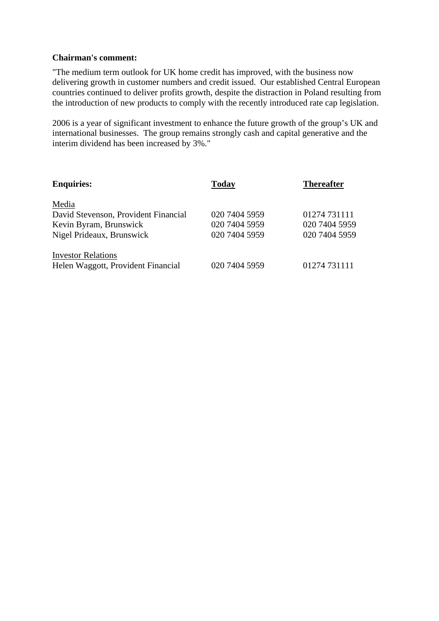#### **Chairman's comment:**

"The medium term outlook for UK home credit has improved, with the business now delivering growth in customer numbers and credit issued. Our established Central European countries continued to deliver profits growth, despite the distraction in Poland resulting from the introduction of new products to comply with the recently introduced rate cap legislation.

2006 is a year of significant investment to enhance the future growth of the group's UK and international businesses. The group remains strongly cash and capital generative and the interim dividend has been increased by 3%."

| <b>Enquiries:</b>                    | Today         | <b>Thereafter</b> |
|--------------------------------------|---------------|-------------------|
| Media                                |               |                   |
| David Stevenson, Provident Financial | 020 7404 5959 | 01274 731111      |
| Kevin Byram, Brunswick               | 020 7404 5959 | 020 7404 5959     |
| Nigel Prideaux, Brunswick            | 020 7404 5959 | 020 7404 5959     |
| <b>Investor Relations</b>            |               |                   |
| Helen Waggott, Provident Financial   | 020 7404 5959 | 01274 731111      |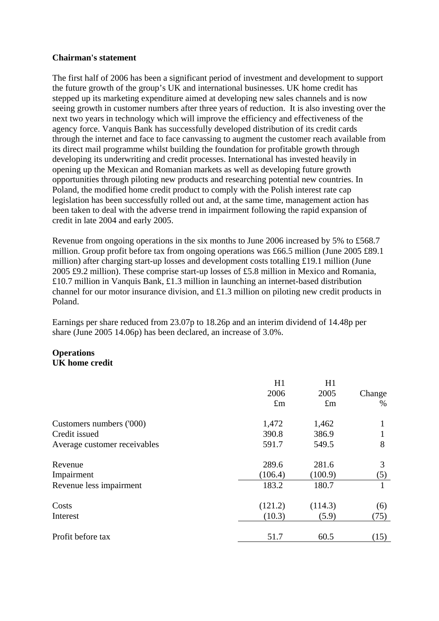#### **Chairman's statement**

The first half of 2006 has been a significant period of investment and development to support the future growth of the group's UK and international businesses. UK home credit has stepped up its marketing expenditure aimed at developing new sales channels and is now seeing growth in customer numbers after three years of reduction. It is also investing over the next two years in technology which will improve the efficiency and effectiveness of the agency force. Vanquis Bank has successfully developed distribution of its credit cards through the internet and face to face canvassing to augment the customer reach available from its direct mail programme whilst building the foundation for profitable growth through developing its underwriting and credit processes. International has invested heavily in opening up the Mexican and Romanian markets as well as developing future growth opportunities through piloting new products and researching potential new countries. In Poland, the modified home credit product to comply with the Polish interest rate cap legislation has been successfully rolled out and, at the same time, management action has been taken to deal with the adverse trend in impairment following the rapid expansion of credit in late 2004 and early 2005.

Revenue from ongoing operations in the six months to June 2006 increased by 5% to £568.7 million. Group profit before tax from ongoing operations was £66.5 million (June 2005 £89.1 million) after charging start-up losses and development costs totalling £19.1 million (June 2005 £9.2 million). These comprise start-up losses of £5.8 million in Mexico and Romania, £10.7 million in Vanquis Bank, £1.3 million in launching an internet-based distribution channel for our motor insurance division, and £1.3 million on piloting new credit products in Poland.

Earnings per share reduced from 23.07p to 18.26p and an interim dividend of 14.48p per share (June 2005 14.06p) has been declared, an increase of 3.0%.

## **Operations UK home credit**

|                              | H1          | H1          |        |
|------------------------------|-------------|-------------|--------|
|                              | 2006        | 2005        | Change |
|                              | $\pounds$ m | $\pounds$ m | $\%$   |
| Customers numbers ('000)     | 1,472       | 1,462       |        |
| Credit issued                | 390.8       | 386.9       |        |
| Average customer receivables | 591.7       | 549.5       | 8      |
| Revenue                      | 289.6       | 281.6       | 3      |
| Impairment                   | (106.4)     | (100.9)     | (5)    |
| Revenue less impairment      | 183.2       | 180.7       |        |
| Costs                        | (121.2)     | (114.3)     | (6)    |
| Interest                     | (10.3)      | (5.9)       | (75)   |
| Profit before tax            | 51.7        | 60.5        | (15)   |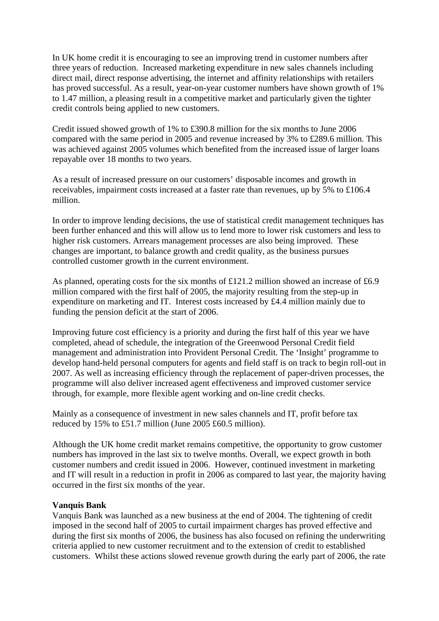In UK home credit it is encouraging to see an improving trend in customer numbers after three years of reduction. Increased marketing expenditure in new sales channels including direct mail, direct response advertising, the internet and affinity relationships with retailers has proved successful. As a result, year-on-year customer numbers have shown growth of 1% to 1.47 million, a pleasing result in a competitive market and particularly given the tighter credit controls being applied to new customers.

Credit issued showed growth of 1% to £390.8 million for the six months to June 2006 compared with the same period in 2005 and revenue increased by 3% to £289.6 million. This was achieved against 2005 volumes which benefited from the increased issue of larger loans repayable over 18 months to two years.

As a result of increased pressure on our customers' disposable incomes and growth in receivables, impairment costs increased at a faster rate than revenues, up by 5% to £106.4 million.

In order to improve lending decisions, the use of statistical credit management techniques has been further enhanced and this will allow us to lend more to lower risk customers and less to higher risk customers. Arrears management processes are also being improved. These changes are important, to balance growth and credit quality, as the business pursues controlled customer growth in the current environment.

As planned, operating costs for the six months of £121.2 million showed an increase of £6.9 million compared with the first half of 2005, the majority resulting from the step-up in expenditure on marketing and IT. Interest costs increased by £4.4 million mainly due to funding the pension deficit at the start of 2006.

Improving future cost efficiency is a priority and during the first half of this year we have completed, ahead of schedule, the integration of the Greenwood Personal Credit field management and administration into Provident Personal Credit. The 'Insight' programme to develop hand-held personal computers for agents and field staff is on track to begin roll-out in 2007. As well as increasing efficiency through the replacement of paper-driven processes, the programme will also deliver increased agent effectiveness and improved customer service through, for example, more flexible agent working and on-line credit checks.

Mainly as a consequence of investment in new sales channels and IT, profit before tax reduced by 15% to £51.7 million (June 2005 £60.5 million).

Although the UK home credit market remains competitive, the opportunity to grow customer numbers has improved in the last six to twelve months. Overall, we expect growth in both customer numbers and credit issued in 2006. However, continued investment in marketing and IT will result in a reduction in profit in 2006 as compared to last year, the majority having occurred in the first six months of the year.

#### **Vanquis Bank**

Vanquis Bank was launched as a new business at the end of 2004. The tightening of credit imposed in the second half of 2005 to curtail impairment charges has proved effective and during the first six months of 2006, the business has also focused on refining the underwriting criteria applied to new customer recruitment and to the extension of credit to established customers. Whilst these actions slowed revenue growth during the early part of 2006, the rate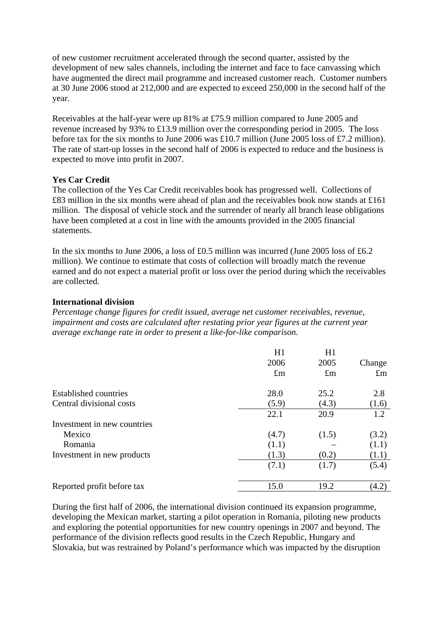of new customer recruitment accelerated through the second quarter, assisted by the development of new sales channels, including the internet and face to face canvassing which have augmented the direct mail programme and increased customer reach. Customer numbers at 30 June 2006 stood at 212,000 and are expected to exceed 250,000 in the second half of the year.

Receivables at the half-year were up 81% at £75.9 million compared to June 2005 and revenue increased by 93% to £13.9 million over the corresponding period in 2005. The loss before tax for the six months to June 2006 was £10.7 million (June 2005 loss of £7.2 million). The rate of start-up losses in the second half of 2006 is expected to reduce and the business is expected to move into profit in 2007.

## **Yes Car Credit**

The collection of the Yes Car Credit receivables book has progressed well. Collections of £83 million in the six months were ahead of plan and the receivables book now stands at £161 million. The disposal of vehicle stock and the surrender of nearly all branch lease obligations have been completed at a cost in line with the amounts provided in the 2005 financial statements.

In the six months to June 2006, a loss of £0.5 million was incurred (June 2005 loss of £6.2 million). We continue to estimate that costs of collection will broadly match the revenue earned and do not expect a material profit or loss over the period during which the receivables are collected.

## **International division**

*Percentage change figures for credit issued, average net customer receivables, revenue, impairment and costs are calculated after restating prior year figures at the current year average exchange rate in order to present a like-for-like comparison.* 

|                              | H1          | H1          |             |
|------------------------------|-------------|-------------|-------------|
|                              | 2006        | 2005        | Change      |
|                              | $\pounds$ m | $\pounds$ m | $\pounds$ m |
| <b>Established countries</b> | 28.0        | 25.2        | 2.8         |
| Central divisional costs     | (5.9)       | (4.3)       | (1.6)       |
|                              | 22.1        | 20.9        | 1.2         |
| Investment in new countries  |             |             |             |
| Mexico                       | (4.7)       | (1.5)       | (3.2)       |
| Romania                      | (1.1)       |             | (1.1)       |
| Investment in new products   | (1.3)       | (0.2)       | (1.1)       |
|                              | (7.1)       | (1.7)       | (5.4)       |
| Reported profit before tax   | 15.0        | 19.2        | (4.2)       |

During the first half of 2006, the international division continued its expansion programme, developing the Mexican market, starting a pilot operation in Romania, piloting new products and exploring the potential opportunities for new country openings in 2007 and beyond. The performance of the division reflects good results in the Czech Republic, Hungary and Slovakia, but was restrained by Poland's performance which was impacted by the disruption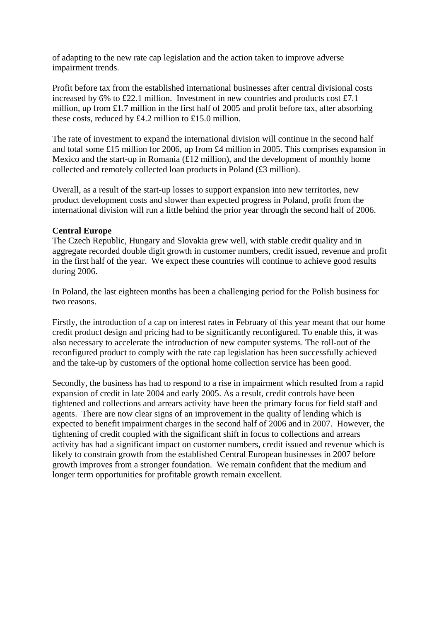of adapting to the new rate cap legislation and the action taken to improve adverse impairment trends.

Profit before tax from the established international businesses after central divisional costs increased by 6% to £22.1 million. Investment in new countries and products cost  $\text{\pounds}7.1$ million, up from £1.7 million in the first half of 2005 and profit before tax, after absorbing these costs, reduced by £4.2 million to £15.0 million.

The rate of investment to expand the international division will continue in the second half and total some £15 million for 2006, up from £4 million in 2005. This comprises expansion in Mexico and the start-up in Romania (£12 million), and the development of monthly home collected and remotely collected loan products in Poland (£3 million).

Overall, as a result of the start-up losses to support expansion into new territories, new product development costs and slower than expected progress in Poland, profit from the international division will run a little behind the prior year through the second half of 2006.

## **Central Europe**

The Czech Republic, Hungary and Slovakia grew well, with stable credit quality and in aggregate recorded double digit growth in customer numbers, credit issued, revenue and profit in the first half of the year. We expect these countries will continue to achieve good results during 2006.

In Poland, the last eighteen months has been a challenging period for the Polish business for two reasons.

Firstly, the introduction of a cap on interest rates in February of this year meant that our home credit product design and pricing had to be significantly reconfigured. To enable this, it was also necessary to accelerate the introduction of new computer systems. The roll-out of the reconfigured product to comply with the rate cap legislation has been successfully achieved and the take-up by customers of the optional home collection service has been good.

Secondly, the business has had to respond to a rise in impairment which resulted from a rapid expansion of credit in late 2004 and early 2005. As a result, credit controls have been tightened and collections and arrears activity have been the primary focus for field staff and agents. There are now clear signs of an improvement in the quality of lending which is expected to benefit impairment charges in the second half of 2006 and in 2007. However, the tightening of credit coupled with the significant shift in focus to collections and arrears activity has had a significant impact on customer numbers, credit issued and revenue which is likely to constrain growth from the established Central European businesses in 2007 before growth improves from a stronger foundation. We remain confident that the medium and longer term opportunities for profitable growth remain excellent.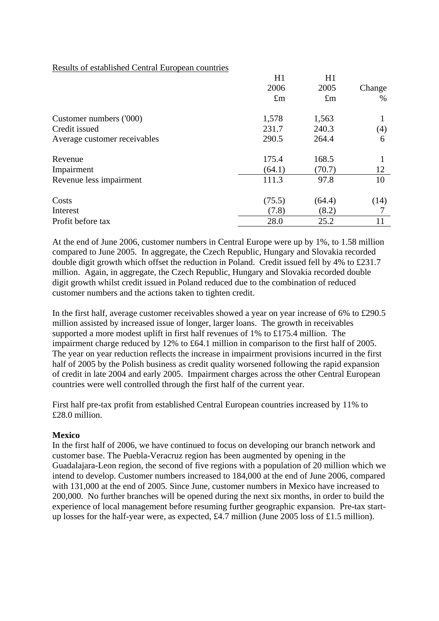#### Results of established Central European countries

|                              | H1          | H1          |        |
|------------------------------|-------------|-------------|--------|
|                              | 2006        | 2005        | Change |
|                              | $\pounds$ m | $\pounds$ m | $\%$   |
| Customer numbers ('000)      | 1,578       | 1,563       |        |
| Credit issued                | 231.7       | 240.3       | (4)    |
| Average customer receivables | 290.5       | 264.4       | 6      |
| Revenue                      | 175.4       | 168.5       |        |
| Impairment                   | (64.1)      | (70.7)      | 12     |
| Revenue less impairment      | 111.3       | 97.8        | 10     |
| Costs                        | (75.5)      | (64.4)      | (14)   |
| Interest                     | (7.8)       | (8.2)       |        |
| Profit before tax            | 28.0        | 25.2        | 11     |

At the end of June 2006, customer numbers in Central Europe were up by 1%, to 1.58 million compared to June 2005. In aggregate, the Czech Republic, Hungary and Slovakia recorded double digit growth which offset the reduction in Poland. Credit issued fell by 4% to £231.7 million. Again, in aggregate, the Czech Republic, Hungary and Slovakia recorded double digit growth whilst credit issued in Poland reduced due to the combination of reduced customer numbers and the actions taken to tighten credit.

In the first half, average customer receivables showed a year on year increase of 6% to £290.5 million assisted by increased issue of longer, larger loans. The growth in receivables supported a more modest uplift in first half revenues of 1% to £175.4 million. The impairment charge reduced by 12% to £64.1 million in comparison to the first half of 2005. The year on year reduction reflects the increase in impairment provisions incurred in the first half of 2005 by the Polish business as credit quality worsened following the rapid expansion of credit in late 2004 and early 2005. Impairment charges across the other Central European countries were well controlled through the first half of the current year.

First half pre-tax profit from established Central European countries increased by 11% to £28.0 million.

#### **Mexico**

In the first half of 2006, we have continued to focus on developing our branch network and customer base. The Puebla-Veracruz region has been augmented by opening in the Guadalajara-Leon region, the second of five regions with a population of 20 million which we intend to develop. Customer numbers increased to 184,000 at the end of June 2006, compared with 131,000 at the end of 2005. Since June, customer numbers in Mexico have increased to 200,000. No further branches will be opened during the next six months, in order to build the experience of local management before resuming further geographic expansion. Pre-tax startup losses for the half-year were, as expected, £4.7 million (June 2005 loss of £1.5 million).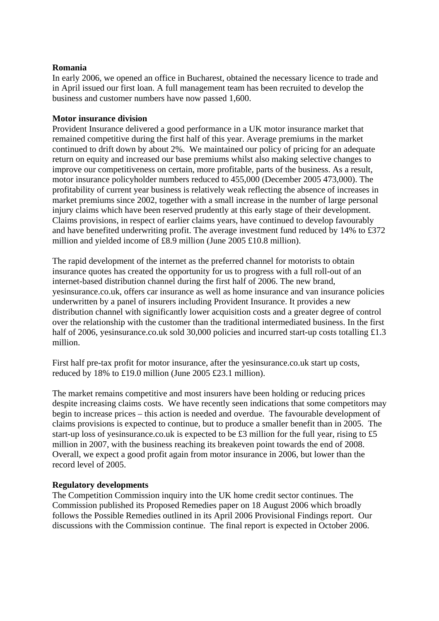#### **Romania**

In early 2006, we opened an office in Bucharest, obtained the necessary licence to trade and in April issued our first loan. A full management team has been recruited to develop the business and customer numbers have now passed 1,600.

#### **Motor insurance division**

Provident Insurance delivered a good performance in a UK motor insurance market that remained competitive during the first half of this year. Average premiums in the market continued to drift down by about 2%. We maintained our policy of pricing for an adequate return on equity and increased our base premiums whilst also making selective changes to improve our competitiveness on certain, more profitable, parts of the business. As a result, motor insurance policyholder numbers reduced to 455,000 (December 2005 473,000). The profitability of current year business is relatively weak reflecting the absence of increases in market premiums since 2002, together with a small increase in the number of large personal injury claims which have been reserved prudently at this early stage of their development. Claims provisions, in respect of earlier claims years, have continued to develop favourably and have benefited underwriting profit. The average investment fund reduced by 14% to £372 million and yielded income of £8.9 million (June 2005 £10.8 million).

The rapid development of the internet as the preferred channel for motorists to obtain insurance quotes has created the opportunity for us to progress with a full roll-out of an internet-based distribution channel during the first half of 2006. The new brand, yesinsurance.co.uk, offers car insurance as well as home insurance and van insurance policies underwritten by a panel of insurers including Provident Insurance. It provides a new distribution channel with significantly lower acquisition costs and a greater degree of control over the relationship with the customer than the traditional intermediated business. In the first half of 2006, yesinsurance.co.uk sold 30,000 policies and incurred start-up costs totalling £1.3 million.

First half pre-tax profit for motor insurance, after the yesinsurance.co.uk start up costs, reduced by 18% to £19.0 million (June 2005 £23.1 million).

The market remains competitive and most insurers have been holding or reducing prices despite increasing claims costs. We have recently seen indications that some competitors may begin to increase prices – this action is needed and overdue. The favourable development of claims provisions is expected to continue, but to produce a smaller benefit than in 2005. The start-up loss of yesinsurance.co.uk is expected to be £3 million for the full year, rising to £5 million in 2007, with the business reaching its breakeven point towards the end of 2008. Overall, we expect a good profit again from motor insurance in 2006, but lower than the record level of 2005.

#### **Regulatory developments**

The Competition Commission inquiry into the UK home credit sector continues. The Commission published its Proposed Remedies paper on 18 August 2006 which broadly follows the Possible Remedies outlined in its April 2006 Provisional Findings report. Our discussions with the Commission continue. The final report is expected in October 2006.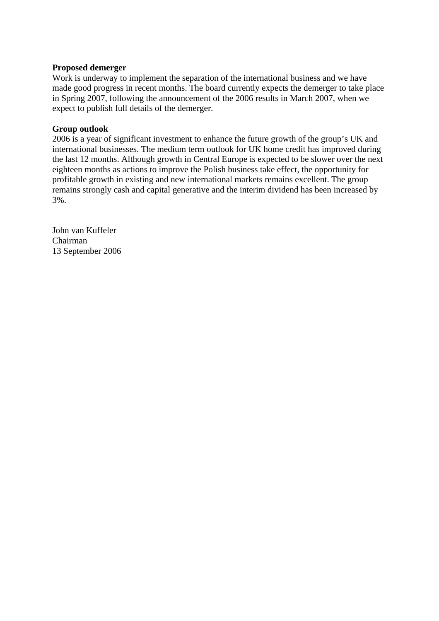#### **Proposed demerger**

Work is underway to implement the separation of the international business and we have made good progress in recent months. The board currently expects the demerger to take place in Spring 2007, following the announcement of the 2006 results in March 2007, when we expect to publish full details of the demerger.

## **Group outlook**

2006 is a year of significant investment to enhance the future growth of the group's UK and international businesses. The medium term outlook for UK home credit has improved during the last 12 months. Although growth in Central Europe is expected to be slower over the next eighteen months as actions to improve the Polish business take effect, the opportunity for profitable growth in existing and new international markets remains excellent. The group remains strongly cash and capital generative and the interim dividend has been increased by 3%.

John van Kuffeler Chairman 13 September 2006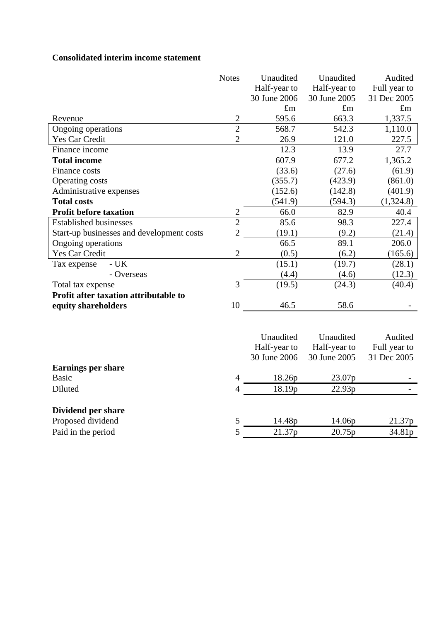## **Consolidated interim income statement**

|                                           | <b>Notes</b>   | Unaudited    | Unaudited    | Audited      |
|-------------------------------------------|----------------|--------------|--------------|--------------|
|                                           |                | Half-year to | Half-year to | Full year to |
|                                           |                | 30 June 2006 | 30 June 2005 | 31 Dec 2005  |
|                                           |                | $\pounds$ m  | $\pounds$ m  | $\pounds$ m  |
| Revenue                                   | $\mathbf{2}$   | 595.6        | 663.3        | 1,337.5      |
| Ongoing operations                        | $\overline{2}$ | 568.7        | 542.3        | 1,110.0      |
| Yes Car Credit                            | $\overline{2}$ | 26.9         | 121.0        | 227.5        |
| Finance income                            |                | 12.3         | 13.9         | 27.7         |
| <b>Total income</b>                       |                | 607.9        | 677.2        | 1,365.2      |
| Finance costs                             |                | (33.6)       | (27.6)       | (61.9)       |
| Operating costs                           |                | (355.7)      | (423.9)      | (861.0)      |
| Administrative expenses                   |                | (152.6)      | (142.8)      | (401.9)      |
| <b>Total costs</b>                        |                | (541.9)      | (594.3)      | (1,324.8)    |
| <b>Profit before taxation</b>             | 2              | 66.0         | 82.9         | 40.4         |
| <b>Established businesses</b>             | $\overline{2}$ | 85.6         | 98.3         | 227.4        |
| Start-up businesses and development costs | $\overline{2}$ | (19.1)       | (9.2)        | (21.4)       |
| Ongoing operations                        |                | 66.5         | 89.1         | 206.0        |
| Yes Car Credit                            | $\overline{2}$ | (0.5)        | (6.2)        | (165.6)      |
| $-UK$<br>Tax expense                      |                | (15.1)       | (19.7)       | (28.1)       |
| - Overseas                                |                | (4.4)        | (4.6)        | (12.3)       |
| Total tax expense                         | 3              | (19.5)       | (24.3)       | (40.4)       |
| Profit after taxation attributable to     |                |              |              |              |
| equity shareholders                       | 10             | 46.5         | 58.6         |              |
|                                           |                |              |              |              |
|                                           |                |              |              |              |
|                                           |                | Unaudited    | Unaudited    | Audited      |
|                                           |                | Half-year to | Half-year to | Full year to |
|                                           |                | 30 June 2006 | 30 June 2005 | 31 Dec 2005  |
| <b>Earnings per share</b>                 |                |              |              |              |
| <b>Basic</b>                              | $\overline{4}$ | 18.26p       | 23.07p       |              |
| Diluted                                   | 4              | 18.19p       | 22.93p       |              |
| Dividend per share                        |                |              |              |              |
| Proposed dividend                         | 5              | 14.48p       | 14.06p       | 21.37p       |
| Paid in the period                        | 5              | 21.37p       | 20.75p       | 34.81p       |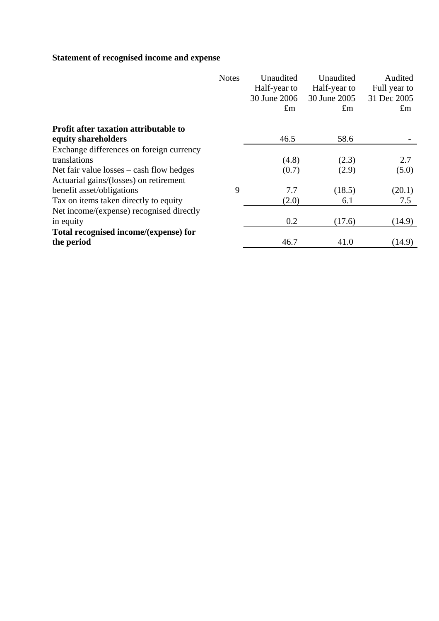# **Statement of recognised income and expense**

|                                              | <b>Notes</b> | Unaudited    | Unaudited    | Audited              |
|----------------------------------------------|--------------|--------------|--------------|----------------------|
|                                              |              | Half-year to | Half-year to | Full year to         |
|                                              |              | 30 June 2006 | 30 June 2005 | 31 Dec 2005          |
|                                              |              | $\pounds$ m  | $\pm$ m      | $\mathop{\text{Im}}$ |
| <b>Profit after taxation attributable to</b> |              |              |              |                      |
| equity shareholders                          |              | 46.5         | 58.6         |                      |
| Exchange differences on foreign currency     |              |              |              |                      |
| translations                                 |              | (4.8)        | (2.3)        | 2.7                  |
| Net fair value $losses - cash flow$ hedges   |              | (0.7)        | (2.9)        | (5.0)                |
| Actuarial gains/(losses) on retirement       |              |              |              |                      |
| benefit asset/obligations                    | 9            | 7.7          | (18.5)       | (20.1)               |
| Tax on items taken directly to equity        |              | (2.0)        | 6.1          | 7.5                  |
| Net income/(expense) recognised directly     |              |              |              |                      |
| in equity                                    |              | 0.2          | (17.6)       | (14.9)               |
| Total recognised income/(expense) for        |              |              |              |                      |
| the period                                   |              | 46.7         | 41.0         | (14.9)               |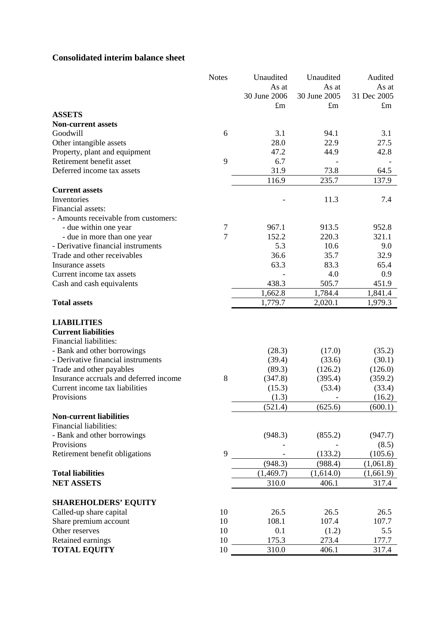## **Consolidated interim balance sheet**

|                                                                   | <b>Notes</b> | Unaudited    | Unaudited        | Audited     |
|-------------------------------------------------------------------|--------------|--------------|------------------|-------------|
|                                                                   |              | As at        | As at            | As at       |
|                                                                   |              | 30 June 2006 | 30 June 2005     | 31 Dec 2005 |
|                                                                   |              | $\pounds$ m  | $\pounds$ m      | $\pounds$ m |
| <b>ASSETS</b>                                                     |              |              |                  |             |
| <b>Non-current assets</b>                                         |              |              |                  |             |
| Goodwill                                                          | 6            | 3.1          | 94.1             | 3.1         |
| Other intangible assets                                           |              | 28.0         | 22.9             | 27.5        |
| Property, plant and equipment                                     |              | 47.2         | 44.9             | 42.8        |
| Retirement benefit asset                                          | 9            | 6.7          |                  |             |
| Deferred income tax assets                                        |              | 31.9         | 73.8             | 64.5        |
|                                                                   |              | 116.9        | 235.7            | 137.9       |
| <b>Current assets</b>                                             |              |              |                  |             |
| Inventories                                                       |              |              | 11.3             | 7.4         |
| Financial assets:                                                 |              |              |                  |             |
| - Amounts receivable from customers:                              |              |              |                  |             |
| - due within one year                                             | 7            | 967.1        | 913.5            | 952.8       |
| - due in more than one year                                       | 7            | 152.2        | 220.3            | 321.1       |
| - Derivative financial instruments                                |              | 5.3          | 10.6             | 9.0         |
| Trade and other receivables                                       |              | 36.6         | 35.7             | 32.9        |
| Insurance assets                                                  |              | 63.3         | 83.3             | 65.4        |
| Current income tax assets                                         |              |              | 4.0              | 0.9         |
| Cash and cash equivalents                                         |              | 438.3        | 505.7            | 451.9       |
|                                                                   |              | 1,662.8      | 1,784.4          | 1,841.4     |
| <b>Total assets</b>                                               |              | 1,779.7      | 2,020.1          | 1,979.3     |
|                                                                   |              |              |                  |             |
| <b>LIABILITIES</b><br><b>Current liabilities</b>                  |              |              |                  |             |
| Financial liabilities:                                            |              |              |                  |             |
|                                                                   |              | (28.3)       |                  |             |
| - Bank and other borrowings<br>- Derivative financial instruments |              | (39.4)       | (17.0)<br>(33.6) | (35.2)      |
|                                                                   |              |              |                  |             |
|                                                                   |              |              |                  | (30.1)      |
| Trade and other payables                                          |              | (89.3)       | (126.2)          | (126.0)     |
| Insurance accruals and deferred income                            | 8            | (347.8)      | (395.4)          | (359.2)     |
| Current income tax liabilities                                    |              | (15.3)       | (53.4)           | (33.4)      |
| Provisions                                                        |              | (1.3)        |                  | (16.2)      |
|                                                                   |              | (521.4)      | (625.6)          | (600.1)     |
| <b>Non-current liabilities</b>                                    |              |              |                  |             |
| <b>Financial liabilities:</b>                                     |              |              |                  |             |
| - Bank and other borrowings                                       |              | (948.3)      | (855.2)          | (947.7)     |
| Provisions                                                        |              |              |                  | (8.5)       |
| Retirement benefit obligations                                    | 9            |              | (133.2)          | (105.6)     |
|                                                                   |              | (948.3)      | (988.4)          | (1,061.8)   |
| <b>Total liabilities</b>                                          |              | (1,469.7)    | (1,614.0)        | (1,661.9)   |
| <b>NET ASSETS</b>                                                 |              | 310.0        | 406.1            | 317.4       |
| <b>SHAREHOLDERS' EQUITY</b>                                       |              |              |                  |             |
| Called-up share capital                                           | 10           | 26.5         | 26.5             | 26.5        |
| Share premium account                                             | 10           | 108.1        | 107.4            | 107.7       |
| Other reserves                                                    | 10           | 0.1          | (1.2)            | 5.5         |
| Retained earnings                                                 | 10           | 175.3        | 273.4            | 177.7       |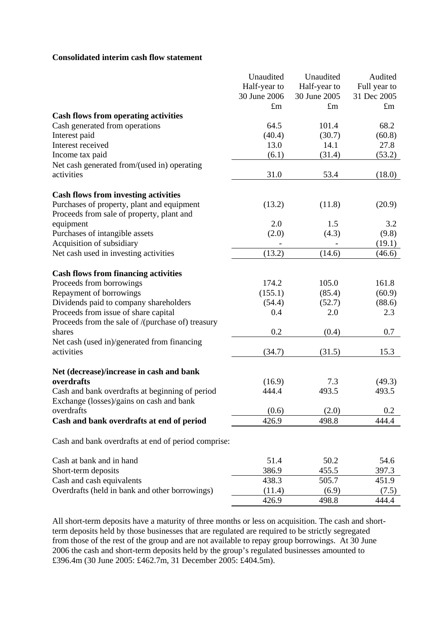#### **Consolidated interim cash flow statement**

|                                                     | Unaudited    | Unaudited    | Audited      |
|-----------------------------------------------------|--------------|--------------|--------------|
|                                                     | Half-year to | Half-year to | Full year to |
|                                                     | 30 June 2006 | 30 June 2005 | 31 Dec 2005  |
|                                                     | $\pounds$ m  | $\pounds$ m  | $\pounds$ m  |
| <b>Cash flows from operating activities</b>         |              |              |              |
| Cash generated from operations                      | 64.5         | 101.4        | 68.2         |
| Interest paid                                       | (40.4)       | (30.7)       | (60.8)       |
| Interest received                                   | 13.0         | 14.1         | 27.8         |
| Income tax paid                                     | (6.1)        | (31.4)       | (53.2)       |
| Net cash generated from/(used in) operating         |              |              |              |
| activities                                          | 31.0         | 53.4         | (18.0)       |
| <b>Cash flows from investing activities</b>         |              |              |              |
| Purchases of property, plant and equipment          | (13.2)       | (11.8)       | (20.9)       |
| Proceeds from sale of property, plant and           |              |              |              |
| equipment                                           | 2.0          | 1.5          | 3.2          |
| Purchases of intangible assets                      | (2.0)        | (4.3)        | (9.8)        |
| Acquisition of subsidiary                           |              |              | (19.1)       |
| Net cash used in investing activities               | (13.2)       | (14.6)       | (46.6)       |
| <b>Cash flows from financing activities</b>         |              |              |              |
| Proceeds from borrowings                            | 174.2        | 105.0        | 161.8        |
| Repayment of borrowings                             | (155.1)      | (85.4)       | (60.9)       |
| Dividends paid to company shareholders              | (54.4)       | (52.7)       | (88.6)       |
| Proceeds from issue of share capital                | 0.4          | 2.0          | 2.3          |
| Proceeds from the sale of /(purchase of) treasury   |              |              |              |
| shares                                              | 0.2          | (0.4)        | 0.7          |
| Net cash (used in)/generated from financing         |              |              |              |
| activities                                          | (34.7)       | (31.5)       | 15.3         |
| Net (decrease)/increase in cash and bank            |              |              |              |
| overdrafts                                          | (16.9)       | 7.3          | (49.3)       |
| Cash and bank overdrafts at beginning of period     | 444.4        | 493.5        | 493.5        |
| Exchange (losses)/gains on cash and bank            |              |              |              |
| overdrafts                                          | (0.6)        | (2.0)        | 0.2          |
| Cash and bank overdrafts at end of period           | 426.9        | 498.8        | 444.4        |
| Cash and bank overdrafts at end of period comprise: |              |              |              |
| Cash at bank and in hand                            | 51.4         | 50.2         | 54.6         |
| Short-term deposits                                 | 386.9        | 455.5        | 397.3        |
| Cash and cash equivalents                           | 438.3        | 505.7        | 451.9        |
| Overdrafts (held in bank and other borrowings)      | (11.4)       | (6.9)        | (7.5)        |
|                                                     | 426.9        | 498.8        | 444.4        |

All short-term deposits have a maturity of three months or less on acquisition. The cash and shortterm deposits held by those businesses that are regulated are required to be strictly segregated from those of the rest of the group and are not available to repay group borrowings. At 30 June 2006 the cash and short-term deposits held by the group's regulated businesses amounted to £396.4m (30 June 2005: £462.7m, 31 December 2005: £404.5m).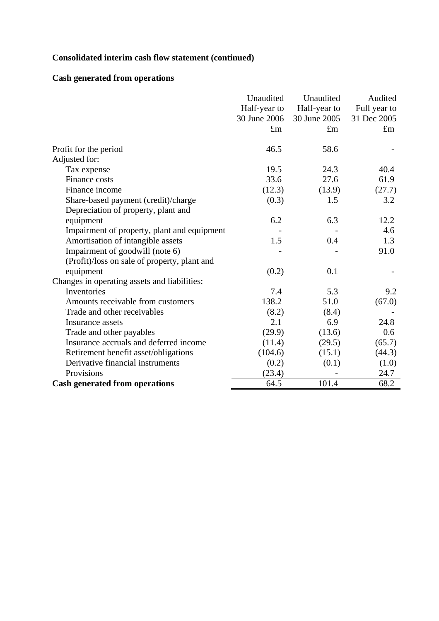# **Consolidated interim cash flow statement (continued)**

## **Cash generated from operations**

|                                              | Unaudited    | Unaudited    | Audited      |
|----------------------------------------------|--------------|--------------|--------------|
|                                              | Half-year to | Half-year to | Full year to |
|                                              | 30 June 2006 | 30 June 2005 | 31 Dec 2005  |
|                                              | $\pounds$ m  | $\pounds$ m  | $\pounds$ m  |
| Profit for the period                        | 46.5         | 58.6         |              |
| Adjusted for:                                |              |              |              |
| Tax expense                                  | 19.5         | 24.3         | 40.4         |
| Finance costs                                | 33.6         | 27.6         | 61.9         |
| Finance income                               | (12.3)       | (13.9)       | (27.7)       |
| Share-based payment (credit)/charge          | (0.3)        | 1.5          | 3.2          |
| Depreciation of property, plant and          |              |              |              |
| equipment                                    | 6.2          | 6.3          | 12.2         |
| Impairment of property, plant and equipment  |              |              | 4.6          |
| Amortisation of intangible assets            | 1.5          | 0.4          | 1.3          |
| Impairment of goodwill (note 6)              |              |              | 91.0         |
| (Profit)/loss on sale of property, plant and |              |              |              |
| equipment                                    | (0.2)        | 0.1          |              |
| Changes in operating assets and liabilities: |              |              |              |
| Inventories                                  | 7.4          | 5.3          | 9.2          |
| Amounts receivable from customers            | 138.2        | 51.0         | (67.0)       |
| Trade and other receivables                  | (8.2)        | (8.4)        |              |
| Insurance assets                             | 2.1          | 6.9          | 24.8         |
| Trade and other payables                     | (29.9)       | (13.6)       | 0.6          |
| Insurance accruals and deferred income       | (11.4)       | (29.5)       | (65.7)       |
| Retirement benefit asset/obligations         | (104.6)      | (15.1)       | (44.3)       |
| Derivative financial instruments             | (0.2)        | (0.1)        | (1.0)        |
| Provisions                                   | (23.4)       |              | 24.7         |
| <b>Cash generated from operations</b>        | 64.5         | 101.4        | 68.2         |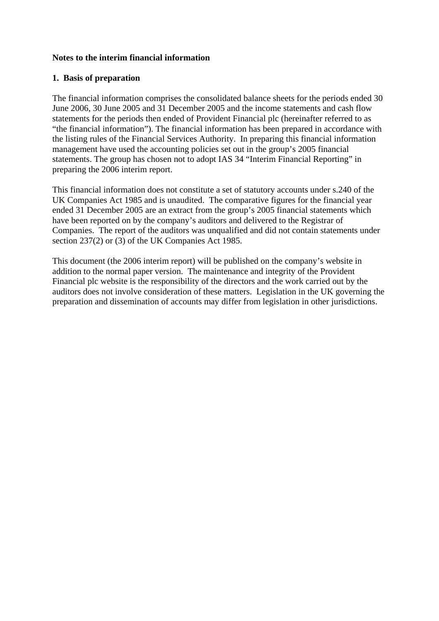## **Notes to the interim financial information**

## **1. Basis of preparation**

The financial information comprises the consolidated balance sheets for the periods ended 30 June 2006, 30 June 2005 and 31 December 2005 and the income statements and cash flow statements for the periods then ended of Provident Financial plc (hereinafter referred to as "the financial information"). The financial information has been prepared in accordance with the listing rules of the Financial Services Authority. In preparing this financial information management have used the accounting policies set out in the group's 2005 financial statements. The group has chosen not to adopt IAS 34 "Interim Financial Reporting" in preparing the 2006 interim report.

This financial information does not constitute a set of statutory accounts under s.240 of the UK Companies Act 1985 and is unaudited. The comparative figures for the financial year ended 31 December 2005 are an extract from the group's 2005 financial statements which have been reported on by the company's auditors and delivered to the Registrar of Companies. The report of the auditors was unqualified and did not contain statements under section 237(2) or (3) of the UK Companies Act 1985.

This document (the 2006 interim report) will be published on the company's website in addition to the normal paper version. The maintenance and integrity of the Provident Financial plc website is the responsibility of the directors and the work carried out by the auditors does not involve consideration of these matters. Legislation in the UK governing the preparation and dissemination of accounts may differ from legislation in other jurisdictions.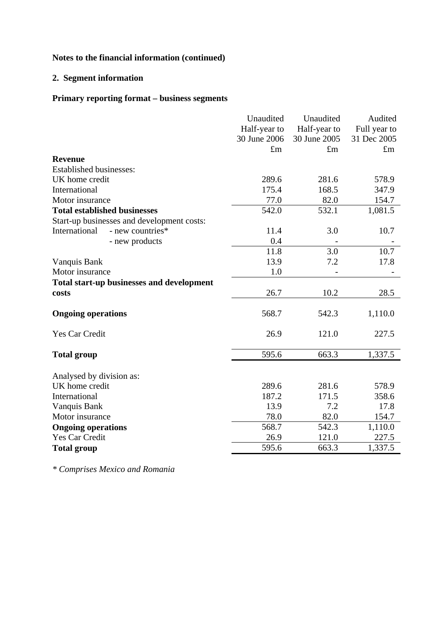## **2. Segment information**

## **Primary reporting format – business segments**

|                                                  | Unaudited    | Unaudited    | Audited      |
|--------------------------------------------------|--------------|--------------|--------------|
|                                                  | Half-year to | Half-year to | Full year to |
|                                                  | 30 June 2006 | 30 June 2005 | 31 Dec 2005  |
|                                                  | $\pounds$ m  | $\pounds$ m  | $\pounds$ m  |
| <b>Revenue</b>                                   |              |              |              |
| <b>Established businesses:</b>                   |              |              |              |
| UK home credit                                   | 289.6        | 281.6        | 578.9        |
| International                                    | 175.4        | 168.5        | 347.9        |
| Motor insurance                                  | 77.0         | 82.0         | 154.7        |
| <b>Total established businesses</b>              | 542.0        | 532.1        | 1,081.5      |
| Start-up businesses and development costs:       |              |              |              |
| International<br>- new countries*                | 11.4         | 3.0          | 10.7         |
| - new products                                   | 0.4          |              |              |
|                                                  | 11.8         | 3.0          | 10.7         |
| Vanquis Bank                                     | 13.9         | 7.2          | 17.8         |
| Motor insurance                                  | 1.0          |              |              |
| <b>Total start-up businesses and development</b> |              |              |              |
| costs                                            | 26.7         | 10.2         | 28.5         |
|                                                  |              |              |              |
| <b>Ongoing operations</b>                        | 568.7        | 542.3        | 1,110.0      |
| Yes Car Credit                                   | 26.9         | 121.0        | 227.5        |
| <b>Total group</b>                               | 595.6        | 663.3        | 1,337.5      |
|                                                  |              |              |              |
| Analysed by division as:                         |              |              |              |
| UK home credit                                   | 289.6        | 281.6        | 578.9        |
| International                                    | 187.2        | 171.5        | 358.6        |
| Vanquis Bank                                     | 13.9         | 7.2          | 17.8         |
| Motor insurance                                  | 78.0         | 82.0         | 154.7        |
| <b>Ongoing operations</b>                        | 568.7        | 542.3        | 1,110.0      |
| <b>Yes Car Credit</b>                            | 26.9         | 121.0        | 227.5        |
| <b>Total group</b>                               | 595.6        | 663.3        | 1,337.5      |

*\* Comprises Mexico and Romania*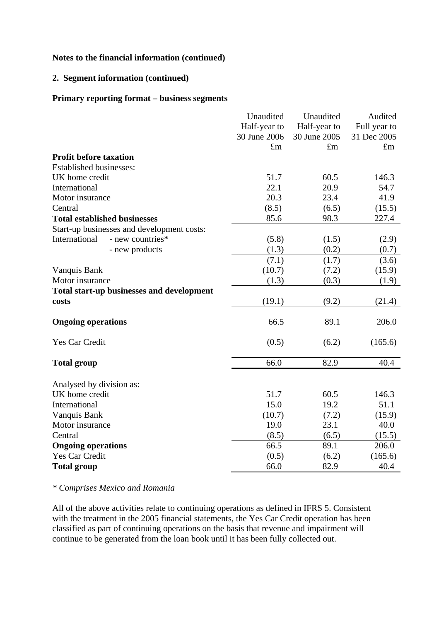## **2. Segment information (continued)**

#### **Primary reporting format – business segments**

|                                                  | Unaudited    | Unaudited    | Audited      |
|--------------------------------------------------|--------------|--------------|--------------|
|                                                  | Half-year to | Half-year to | Full year to |
|                                                  | 30 June 2006 | 30 June 2005 | 31 Dec 2005  |
|                                                  | $\pounds$ m  | $\pounds$ m  | $\pounds$ m  |
| <b>Profit before taxation</b>                    |              |              |              |
| <b>Established businesses:</b>                   |              |              |              |
| UK home credit                                   | 51.7         | 60.5         | 146.3        |
| International                                    | 22.1         | 20.9         | 54.7         |
| Motor insurance                                  | 20.3         | 23.4         | 41.9         |
| Central                                          | (8.5)        | (6.5)        | (15.5)       |
| <b>Total established businesses</b>              | 85.6         | 98.3         | 227.4        |
| Start-up businesses and development costs:       |              |              |              |
| International<br>- new countries*                | (5.8)        | (1.5)        | (2.9)        |
| - new products                                   | (1.3)        | (0.2)        | (0.7)        |
|                                                  | (7.1)        | (1.7)        | (3.6)        |
| Vanquis Bank                                     | (10.7)       | (7.2)        | (15.9)       |
| Motor insurance                                  | (1.3)        | (0.3)        | (1.9)        |
| <b>Total start-up businesses and development</b> |              |              |              |
| costs                                            | (19.1)       | (9.2)        | (21.4)       |
| <b>Ongoing operations</b>                        | 66.5         | 89.1         | 206.0        |
| Yes Car Credit                                   | (0.5)        | (6.2)        | (165.6)      |
| <b>Total group</b>                               | 66.0         | 82.9         | 40.4         |
| Analysed by division as:                         |              |              |              |
| UK home credit                                   | 51.7         | 60.5         | 146.3        |
| International                                    | 15.0         | 19.2         | 51.1         |
| Vanquis Bank                                     | (10.7)       | (7.2)        | (15.9)       |
| Motor insurance                                  | 19.0         | 23.1         | 40.0         |
| Central                                          | (8.5)        | (6.5)        | (15.5)       |
| <b>Ongoing operations</b>                        | 66.5         | 89.1         | 206.0        |
| <b>Yes Car Credit</b>                            | (0.5)        | (6.2)        | (165.6)      |
| <b>Total group</b>                               | 66.0         | 82.9         | 40.4         |

#### *\* Comprises Mexico and Romania*

All of the above activities relate to continuing operations as defined in IFRS 5. Consistent with the treatment in the 2005 financial statements, the Yes Car Credit operation has been classified as part of continuing operations on the basis that revenue and impairment will continue to be generated from the loan book until it has been fully collected out.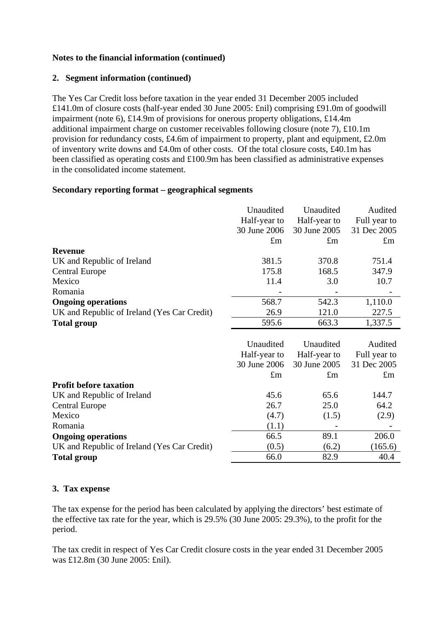## **2. Segment information (continued)**

The Yes Car Credit loss before taxation in the year ended 31 December 2005 included £141.0m of closure costs (half-year ended 30 June 2005: £nil) comprising £91.0m of goodwill impairment (note 6), £14.9m of provisions for onerous property obligations, £14.4m additional impairment charge on customer receivables following closure (note 7), £10.1m provision for redundancy costs, £4.6m of impairment to property, plant and equipment, £2.0m of inventory write downs and £4.0m of other costs. Of the total closure costs, £40.1m has been classified as operating costs and £100.9m has been classified as administrative expenses in the consolidated income statement.

## **Secondary reporting format – geographical segments**

|                                             | Unaudited     | Unaudited     |                 |
|---------------------------------------------|---------------|---------------|-----------------|
|                                             | Half-year to  | Half-year to  | Full year to    |
|                                             | 30 June 2006  | 30 June 2005  | 31 Dec 2005     |
|                                             | $\pounds$ m   | $\pounds$ m   | $\pounds$ m     |
| <b>Revenue</b>                              |               |               |                 |
| UK and Republic of Ireland                  | 381.5         | 370.8         | 751.4           |
| <b>Central Europe</b>                       | 175.8         | 168.5         | 347.9           |
| Mexico                                      | 11.4          | 3.0           | 10.7            |
| Romania                                     |               |               |                 |
| <b>Ongoing operations</b>                   | 568.7         | 542.3         | 1,110.0         |
| UK and Republic of Ireland (Yes Car Credit) | 26.9          | 121.0         | 227.5           |
| <b>Total group</b>                          | 595.6         | 663.3         | 1,337.5         |
|                                             |               |               |                 |
|                                             | Unaudited     | Unaudited     | Audited         |
|                                             | Half-year to  | Half-year to  | Full year to    |
|                                             | 30 June 2006  | 30 June 2005  | 31 Dec 2005     |
|                                             | $\pounds$ m   | $\pounds$ m   | $\pounds$ m     |
| <b>Profit before taxation</b>               |               |               |                 |
| UK and Republic of Ireland                  | 45.6          | 65.6          | 144.7           |
| <b>Central Europe</b>                       | 26.7          | 25.0          | 64.2            |
| Mexico                                      | (4.7)         | (1.5)         | (2.9)           |
| Romania                                     | (1.1)         |               |                 |
| <b>Ongoing operations</b>                   |               |               |                 |
|                                             | 66.5          | 89.1          | 206.0           |
| UK and Republic of Ireland (Yes Car Credit) | (0.5)<br>66.0 | (6.2)<br>82.9 | (165.6)<br>40.4 |

## **3. Tax expense**

The tax expense for the period has been calculated by applying the directors' best estimate of the effective tax rate for the year, which is 29.5% (30 June 2005: 29.3%), to the profit for the period.

The tax credit in respect of Yes Car Credit closure costs in the year ended 31 December 2005 was £12.8m (30 June 2005: £nil).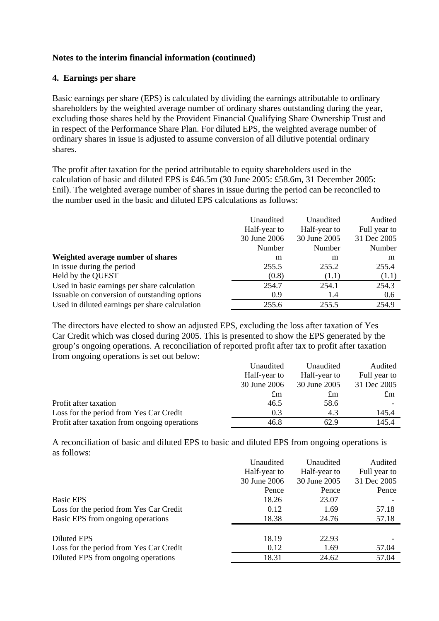## **4. Earnings per share**

Basic earnings per share (EPS) is calculated by dividing the earnings attributable to ordinary shareholders by the weighted average number of ordinary shares outstanding during the year, excluding those shares held by the Provident Financial Qualifying Share Ownership Trust and in respect of the Performance Share Plan. For diluted EPS, the weighted average number of ordinary shares in issue is adjusted to assume conversion of all dilutive potential ordinary shares.

The profit after taxation for the period attributable to equity shareholders used in the calculation of basic and diluted EPS is £46.5m (30 June 2005: £58.6m, 31 December 2005: £nil). The weighted average number of shares in issue during the period can be reconciled to the number used in the basic and diluted EPS calculations as follows:

|                                                | Unaudited<br>Unaudited       |              | Audited      |
|------------------------------------------------|------------------------------|--------------|--------------|
|                                                | Half-year to<br>Half-year to |              | Full year to |
|                                                | 30 June 2006                 | 30 June 2005 | 31 Dec 2005  |
|                                                | Number                       | Number       | Number       |
| Weighted average number of shares              | m                            | m            | m            |
| In issue during the period                     | 255.5                        | 255.2        | 255.4        |
| Held by the QUEST                              | (0.8)                        | (1.1)        | (1.1)        |
| Used in basic earnings per share calculation   | 254.7                        | 254.1        | 254.3        |
| Issuable on conversion of outstanding options  | 0.9                          | 1.4          | 0.6          |
| Used in diluted earnings per share calculation | 255.6                        | 255.5        | 254.9        |

The directors have elected to show an adjusted EPS, excluding the loss after taxation of Yes Car Credit which was closed during 2005. This is presented to show the EPS generated by the group's ongoing operations. A reconciliation of reported profit after tax to profit after taxation from ongoing operations is set out below:

|                                               | Unaudited                    | Unaudited    |              |
|-----------------------------------------------|------------------------------|--------------|--------------|
|                                               | Half-year to<br>Half-year to |              | Full year to |
|                                               | 30 June 2006                 | 30 June 2005 | 31 Dec 2005  |
|                                               | $\pm m$                      | $\pounds$ m  | $\pounds$ m  |
| Profit after taxation                         | 46.5                         | 58.6         |              |
| Loss for the period from Yes Car Credit       | 0.3                          | 4.3          | 145.4        |
| Profit after taxation from ongoing operations | 46.8                         | 62.9         | 145.4        |

A reconciliation of basic and diluted EPS to basic and diluted EPS from ongoing operations is as follows:

|                                         | Unaudited<br>Unaudited |              | Audited      |  |
|-----------------------------------------|------------------------|--------------|--------------|--|
|                                         | Half-year to           | Half-year to | Full year to |  |
|                                         | 30 June 2006           | 30 June 2005 | 31 Dec 2005  |  |
|                                         | Pence                  | Pence        | Pence        |  |
| Basic EPS                               | 18.26                  | 23.07        |              |  |
| Loss for the period from Yes Car Credit | 0.12                   | 1.69         | 57.18        |  |
| Basic EPS from ongoing operations       | 18.38                  | 24.76        | 57.18        |  |
|                                         |                        |              |              |  |
| Diluted EPS                             | 18.19                  | 22.93        |              |  |
| Loss for the period from Yes Car Credit | 0.12                   | 1.69         | 57.04        |  |
| Diluted EPS from ongoing operations     | 18.31                  | 24.62        | 57.04        |  |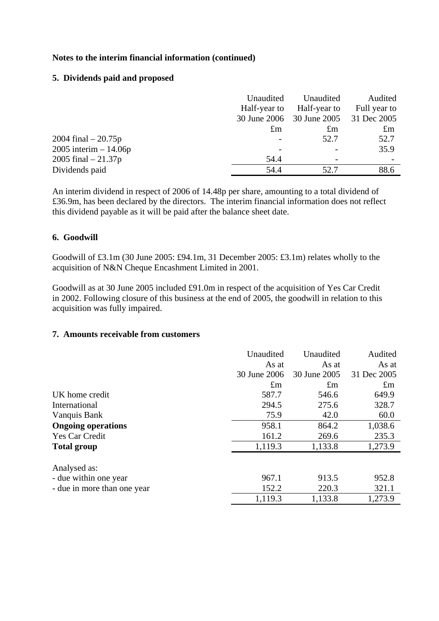## **5. Dividends paid and proposed**

|                          | Unaudited<br>Half-year to | Unaudited<br>Half-year to<br>30 June 2006 30 June 2005 | Audited<br>Full year to<br>31 Dec 2005 |
|--------------------------|---------------------------|--------------------------------------------------------|----------------------------------------|
|                          | $\pounds$ m               | $\pounds$ m                                            | $\pounds$ m                            |
| 2004 final $-20.75p$     |                           | 52.7                                                   | 52.7                                   |
| $2005$ interim $-14.06p$ |                           |                                                        | 35.9                                   |
| 2005 final $-21.37p$     | 54.4                      |                                                        |                                        |
| Dividends paid           | 54.4                      | 52.7                                                   | 88.6                                   |

An interim dividend in respect of 2006 of 14.48p per share, amounting to a total dividend of £36.9m, has been declared by the directors. The interim financial information does not reflect this dividend payable as it will be paid after the balance sheet date.

## **6. Goodwill**

Goodwill of £3.1m (30 June 2005: £94.1m, 31 December 2005: £3.1m) relates wholly to the acquisition of N&N Cheque Encashment Limited in 2001.

Goodwill as at 30 June 2005 included £91.0m in respect of the acquisition of Yes Car Credit in 2002. Following closure of this business at the end of 2005, the goodwill in relation to this acquisition was fully impaired.

#### **7. Amounts receivable from customers**

|                             | Unaudited    | Unaudited    |             |
|-----------------------------|--------------|--------------|-------------|
|                             | As at        | As at        | As at       |
|                             | 30 June 2006 | 30 June 2005 | 31 Dec 2005 |
|                             | $\pounds$ m  | $\pounds$ m  | $\pounds$ m |
| UK home credit              | 587.7        | 546.6        | 649.9       |
| International               | 294.5        | 275.6        | 328.7       |
| Vanquis Bank                | 75.9         | 42.0         | 60.0        |
| <b>Ongoing operations</b>   | 958.1        | 864.2        | 1,038.6     |
| Yes Car Credit              | 161.2        | 269.6        | 235.3       |
| <b>Total group</b>          | 1,119.3      | 1,133.8      | 1,273.9     |
| Analysed as:                |              |              |             |
| - due within one year       | 967.1        | 913.5        | 952.8       |
| - due in more than one year | 152.2        | 220.3        | 321.1       |
|                             | 1,119.3      | 1,133.8      | 1,273.9     |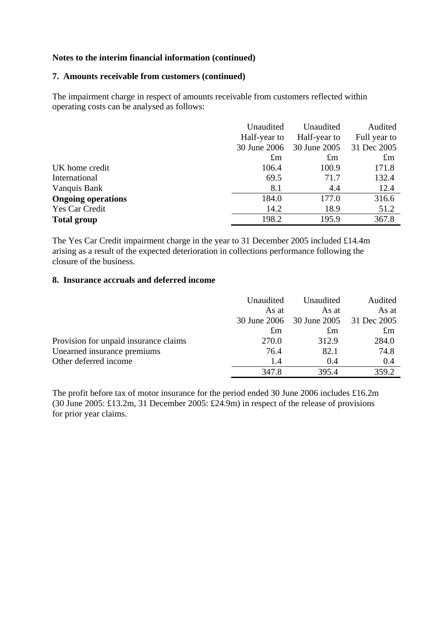#### **7. Amounts receivable from customers (continued)**

The impairment charge in respect of amounts receivable from customers reflected within operating costs can be analysed as follows:

|                           | Unaudited<br>Half-year to | Unaudited<br>Half-year to | Audited<br>Full year to |  |
|---------------------------|---------------------------|---------------------------|-------------------------|--|
|                           | 30 June 2006              | 30 June 2005              | 31 Dec 2005             |  |
|                           | $\pounds$ m               | $\pounds$ m               | $\pounds$ m             |  |
| UK home credit            | 106.4                     | 100.9                     | 171.8                   |  |
| International             | 69.5                      | 71.7                      | 132.4                   |  |
| Vanquis Bank              | 8.1                       | 4.4                       | 12.4                    |  |
| <b>Ongoing operations</b> | 184.0                     | 177.0                     | 316.6                   |  |
| Yes Car Credit            | 14.2                      | 18.9                      | 51.2                    |  |
| <b>Total group</b>        | 198.2                     | 195.9                     | 367.8                   |  |

The Yes Car Credit impairment charge in the year to 31 December 2005 included £14.4m arising as a result of the expected deterioration in collections performance following the closure of the business.

#### **8. Insurance accruals and deferred income**

|                                       | Unaudited<br>As at |                                                | Audited<br>As at |
|---------------------------------------|--------------------|------------------------------------------------|------------------|
|                                       |                    | As at<br>30 June 2006 30 June 2005 31 Dec 2005 |                  |
|                                       | $\pounds$ m        | $\pm$ m                                        | $\pounds$ m      |
| Provision for unpaid insurance claims | 270.0              | 312.9                                          | 284.0            |
| Unearned insurance premiums           | 76.4               | 82.1                                           | 74.8             |
| Other deferred income                 | 1.4                | 0.4                                            | 0.4              |
|                                       | 347.8              | 395.4                                          | 359.2            |

The profit before tax of motor insurance for the period ended 30 June 2006 includes £16.2m (30 June 2005: £13.2m, 31 December 2005: £24.9m) in respect of the release of provisions for prior year claims.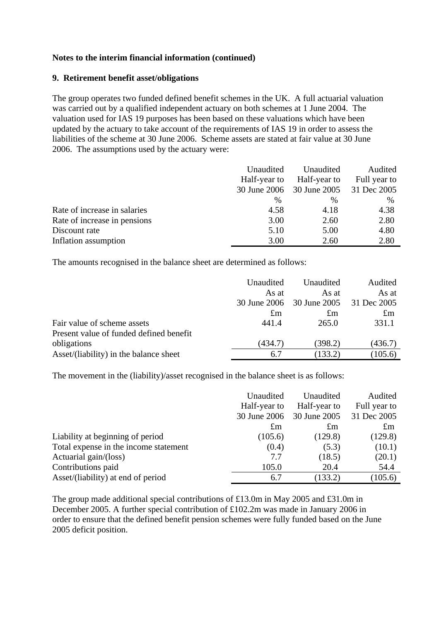### **9. Retirement benefit asset/obligations**

The group operates two funded defined benefit schemes in the UK. A full actuarial valuation was carried out by a qualified independent actuary on both schemes at 1 June 2004. The valuation used for IAS 19 purposes has been based on these valuations which have been updated by the actuary to take account of the requirements of IAS 19 in order to assess the liabilities of the scheme at 30 June 2006. Scheme assets are stated at fair value at 30 June 2006. The assumptions used by the actuary were:

|                              | Unaudited     | Unaudited    | Audited      |  |
|------------------------------|---------------|--------------|--------------|--|
|                              | Half-year to  | Half-year to | Full year to |  |
|                              | 30 June 2006  | 30 June 2005 | 31 Dec 2005  |  |
|                              | $\frac{0}{0}$ | $\%$         | $\%$         |  |
| Rate of increase in salaries | 4.58          | 4.18         | 4.38         |  |
| Rate of increase in pensions | 3.00          | 2.60         | 2.80         |  |
| Discount rate                | 5.10          | 5.00         | 4.80         |  |
| Inflation assumption         | 3.00          | 2.60         | 2.80         |  |

The amounts recognised in the balance sheet are determined as follows:

|                                         | Unaudited    | Unaudited    | Audited     |
|-----------------------------------------|--------------|--------------|-------------|
|                                         | As at        | As at        | As at       |
|                                         | 30 June 2006 | 30 June 2005 | 31 Dec 2005 |
|                                         | $\pounds$ m  | $\pounds$ m  | $\pounds$ m |
| Fair value of scheme assets             | 441.4        | 265.0        | 331.1       |
| Present value of funded defined benefit |              |              |             |
| obligations                             | (434.7)      | (398.2)      | (436.7)     |
| Asset/(liability) in the balance sheet  | 6.7          | (133.2)      | (105.6)     |

The movement in the (liability)/asset recognised in the balance sheet is as follows:

|                                       | Unaudited<br>Unaudited<br>Half-year to<br>Half-year to |              | Audited<br>Full year to |
|---------------------------------------|--------------------------------------------------------|--------------|-------------------------|
|                                       | 30 June 2006                                           | 30 June 2005 | 31 Dec 2005             |
|                                       | $\pounds$ m                                            | $\pounds$ m  | $\pounds$ m             |
| Liability at beginning of period      | (105.6)                                                | (129.8)      | (129.8)                 |
| Total expense in the income statement | (0.4)                                                  | (5.3)        | (10.1)                  |
| Actuarial gain/(loss)                 | 7.7                                                    | (18.5)       | (20.1)                  |
| Contributions paid                    | 105.0                                                  | 20.4         | 54.4                    |
| Asset/(liability) at end of period    | 6.7                                                    | (133.2)      | (105.6)                 |

The group made additional special contributions of £13.0m in May 2005 and £31.0m in December 2005. A further special contribution of £102.2m was made in January 2006 in order to ensure that the defined benefit pension schemes were fully funded based on the June 2005 deficit position.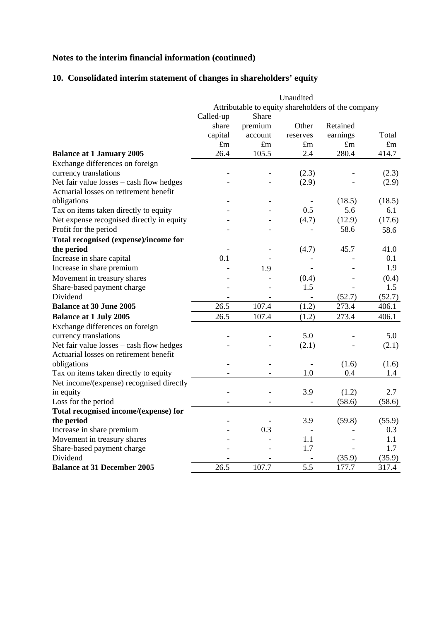## **10. Consolidated interim statement of changes in shareholders' equity**

|                                           |                |                | Unaudited                |                                                    |             |
|-------------------------------------------|----------------|----------------|--------------------------|----------------------------------------------------|-------------|
|                                           |                |                |                          | Attributable to equity shareholders of the company |             |
|                                           | Called-up      | Share          |                          |                                                    |             |
|                                           | share          | premium        | Other                    | Retained                                           |             |
|                                           | capital        | account        | reserves                 | earnings                                           | Total       |
|                                           | $\pounds$ m    | $\pounds$ m    | $\pounds$ m              | $\pounds$ m                                        | $\pounds$ m |
| <b>Balance at 1 January 2005</b>          | 26.4           | 105.5          | 2.4                      | 280.4                                              | 414.7       |
| Exchange differences on foreign           |                |                |                          |                                                    |             |
| currency translations                     |                |                | (2.3)                    |                                                    | (2.3)       |
| Net fair value losses - cash flow hedges  |                |                | (2.9)                    |                                                    | (2.9)       |
| Actuarial losses on retirement benefit    |                |                |                          |                                                    |             |
| obligations                               |                |                |                          | (18.5)                                             | (18.5)      |
| Tax on items taken directly to equity     |                |                | 0.5                      | 5.6                                                | 6.1         |
| Net expense recognised directly in equity | $\overline{a}$ | $\overline{a}$ | (4.7)                    | (12.9)                                             | (17.6)      |
| Profit for the period                     |                |                | $\overline{a}$           | 58.6                                               | 58.6        |
| Total recognised (expense)/income for     |                |                |                          |                                                    |             |
| the period                                |                |                | (4.7)                    | 45.7                                               | 41.0        |
| Increase in share capital                 | 0.1            |                |                          |                                                    | 0.1         |
| Increase in share premium                 |                | 1.9            |                          |                                                    | 1.9         |
| Movement in treasury shares               |                |                | (0.4)                    |                                                    | (0.4)       |
| Share-based payment charge                |                |                | 1.5                      |                                                    | 1.5         |
| Dividend                                  |                |                | $\overline{\phantom{a}}$ | (52.7)                                             | (52.7)      |
| <b>Balance at 30 June 2005</b>            | 26.5           | 107.4          | (1.2)                    | 273.4                                              | 406.1       |
| <b>Balance at 1 July 2005</b>             | 26.5           | 107.4          | (1.2)                    | 273.4                                              | 406.1       |
| Exchange differences on foreign           |                |                |                          |                                                    |             |
| currency translations                     |                |                | 5.0                      |                                                    | 5.0         |
| Net fair value losses - cash flow hedges  |                |                | (2.1)                    |                                                    | (2.1)       |
| Actuarial losses on retirement benefit    |                |                |                          |                                                    |             |
| obligations                               |                |                |                          | (1.6)                                              | (1.6)       |
| Tax on items taken directly to equity     |                |                | 1.0                      | 0.4                                                | 1.4         |
| Net income/(expense) recognised directly  |                |                |                          |                                                    |             |
| in equity                                 |                |                | 3.9                      | (1.2)                                              | 2.7         |
| Loss for the period                       |                |                | $\overline{a}$           | (58.6)                                             | (58.6)      |
| Total recognised income/(expense) for     |                |                |                          |                                                    |             |
| the period                                |                |                | 3.9                      | (59.8)                                             | (55.9)      |
| Increase in share premium                 |                | 0.3            |                          |                                                    | 0.3         |
| Movement in treasury shares               |                |                | 1.1                      |                                                    | 1.1         |
| Share-based payment charge                |                |                | 1.7                      |                                                    | 1.7         |
| Dividend                                  |                |                |                          | (35.9)                                             | (35.9)      |
| <b>Balance at 31 December 2005</b>        | 26.5           | 107.7          | 5.5                      | 177.7                                              | 317.4       |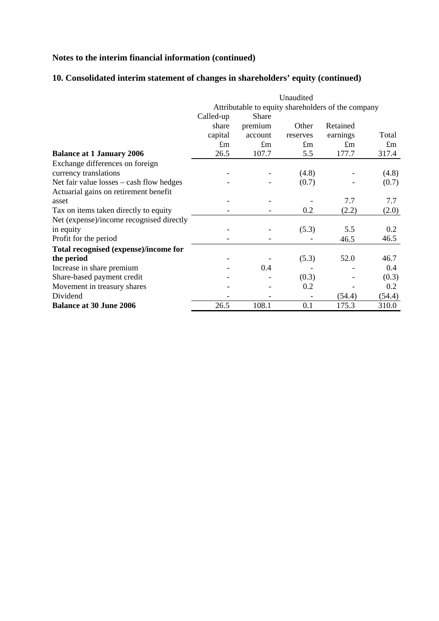## **10. Consolidated interim statement of changes in shareholders' equity (continued)**

|                                            | Unaudited<br>Attributable to equity shareholders of the company |             |             |             |             |
|--------------------------------------------|-----------------------------------------------------------------|-------------|-------------|-------------|-------------|
|                                            |                                                                 |             |             |             |             |
|                                            | Called-up                                                       | Share       |             |             |             |
|                                            | share                                                           | premium     | Other       | Retained    |             |
|                                            | capital                                                         | account     | reserves    | earnings    | Total       |
|                                            | $\pounds$ m                                                     | $\pounds$ m | $\pounds$ m | $\pounds$ m | $\pounds$ m |
| <b>Balance at 1 January 2006</b>           | 26.5                                                            | 107.7       | 5.5         | 177.7       | 317.4       |
| Exchange differences on foreign            |                                                                 |             |             |             |             |
| currency translations                      |                                                                 |             | (4.8)       |             | (4.8)       |
| Net fair value $losses - cash flow$ hedges |                                                                 |             | (0.7)       |             | (0.7)       |
| Actuarial gains on retirement benefit      |                                                                 |             |             |             |             |
| asset                                      |                                                                 |             |             | 7.7         | 7.7         |
| Tax on items taken directly to equity      |                                                                 |             | 0.2         | (2.2)       | (2.0)       |
| Net (expense)/income recognised directly   |                                                                 |             |             |             |             |
| in equity                                  |                                                                 |             | (5.3)       | 5.5         | 0.2         |
| Profit for the period                      |                                                                 |             |             | 46.5        | 46.5        |
| Total recognised (expense)/income for      |                                                                 |             |             |             |             |
| the period                                 |                                                                 |             | (5.3)       | 52.0        | 46.7        |
| Increase in share premium                  |                                                                 | 0.4         |             |             | 0.4         |
| Share-based payment credit                 |                                                                 |             | (0.3)       |             | (0.3)       |
| Movement in treasury shares                |                                                                 |             | 0.2         |             | 0.2         |
| Dividend                                   |                                                                 |             |             | (54.4)      | (54.4)      |
| <b>Balance at 30 June 2006</b>             | 26.5                                                            | 108.1       | 0.1         | 175.3       | 310.0       |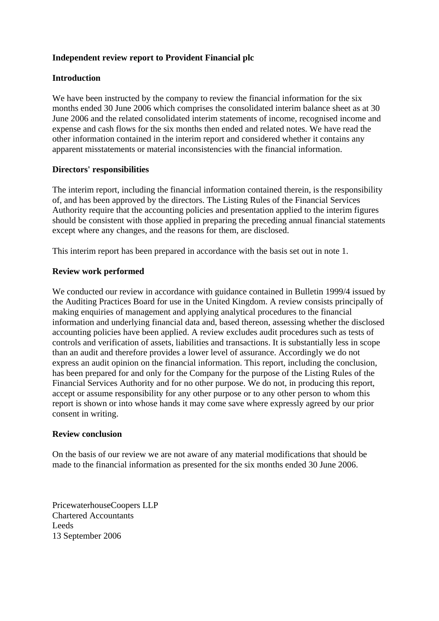## **Independent review report to Provident Financial plc**

## **Introduction**

We have been instructed by the company to review the financial information for the six months ended 30 June 2006 which comprises the consolidated interim balance sheet as at 30 June 2006 and the related consolidated interim statements of income, recognised income and expense and cash flows for the six months then ended and related notes. We have read the other information contained in the interim report and considered whether it contains any apparent misstatements or material inconsistencies with the financial information.

## **Directors' responsibilities**

The interim report, including the financial information contained therein, is the responsibility of, and has been approved by the directors. The Listing Rules of the Financial Services Authority require that the accounting policies and presentation applied to the interim figures should be consistent with those applied in preparing the preceding annual financial statements except where any changes, and the reasons for them, are disclosed.

This interim report has been prepared in accordance with the basis set out in note 1.

## **Review work performed**

We conducted our review in accordance with guidance contained in Bulletin 1999/4 issued by the Auditing Practices Board for use in the United Kingdom. A review consists principally of making enquiries of management and applying analytical procedures to the financial information and underlying financial data and, based thereon, assessing whether the disclosed accounting policies have been applied. A review excludes audit procedures such as tests of controls and verification of assets, liabilities and transactions. It is substantially less in scope than an audit and therefore provides a lower level of assurance. Accordingly we do not express an audit opinion on the financial information. This report, including the conclusion, has been prepared for and only for the Company for the purpose of the Listing Rules of the Financial Services Authority and for no other purpose. We do not, in producing this report, accept or assume responsibility for any other purpose or to any other person to whom this report is shown or into whose hands it may come save where expressly agreed by our prior consent in writing.

#### **Review conclusion**

On the basis of our review we are not aware of any material modifications that should be made to the financial information as presented for the six months ended 30 June 2006.

PricewaterhouseCoopers LLP Chartered Accountants Leeds 13 September 2006